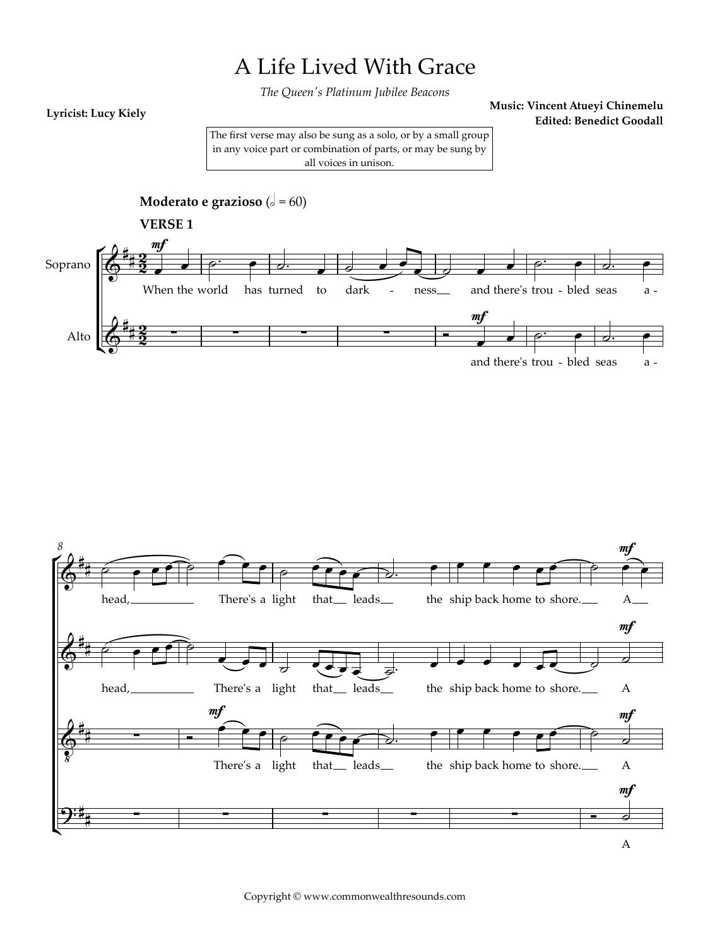## A Life Lived With Grace

*The Queen's Platinum Jubilee Beacons*

## **Lyricist: Lucy Kiely**

**Music: Vincent Atueyi Chinemelu Edited: Benedict Goodall**

A

The first verse may also be sung as a solo, or by a small group in any voice part or combination of parts, or may be sung by all voices in unison.

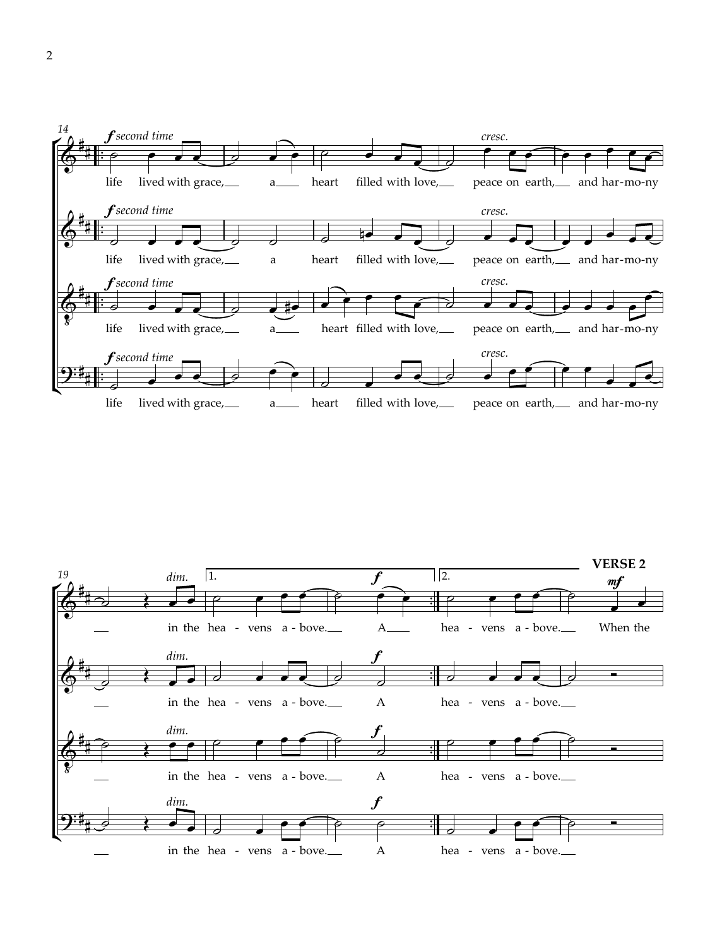

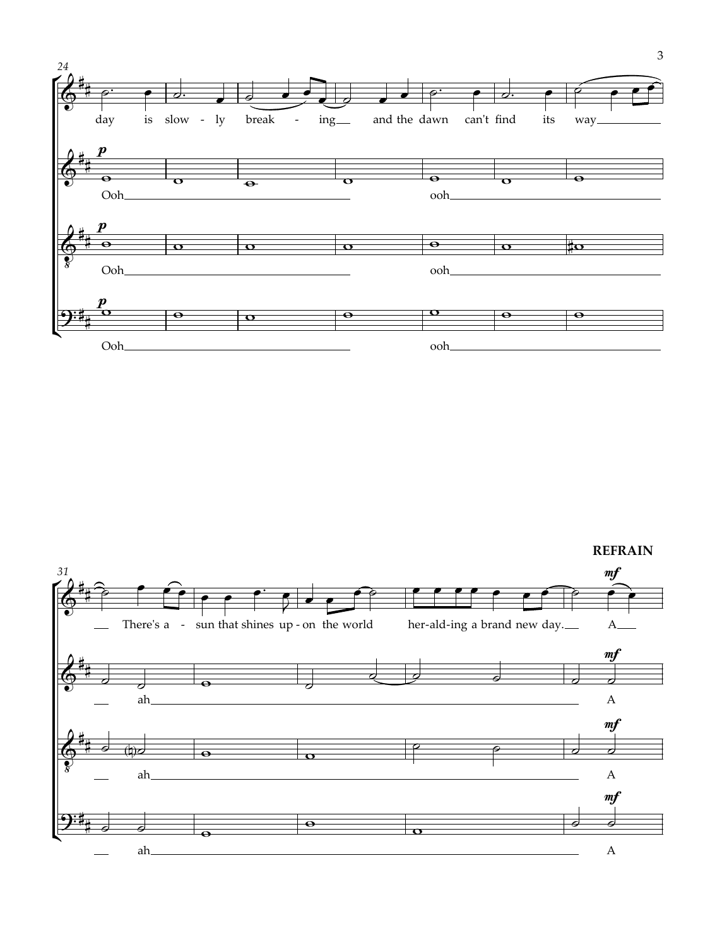![](_page_2_Figure_0.jpeg)

**REFRAIN** 

![](_page_2_Figure_2.jpeg)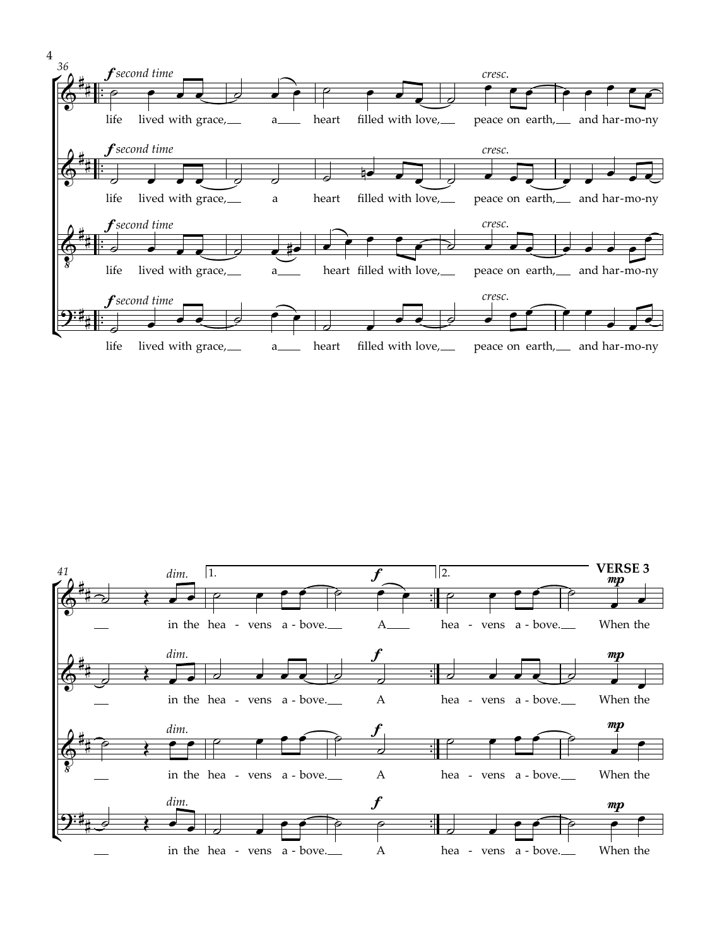![](_page_3_Figure_0.jpeg)

![](_page_3_Figure_1.jpeg)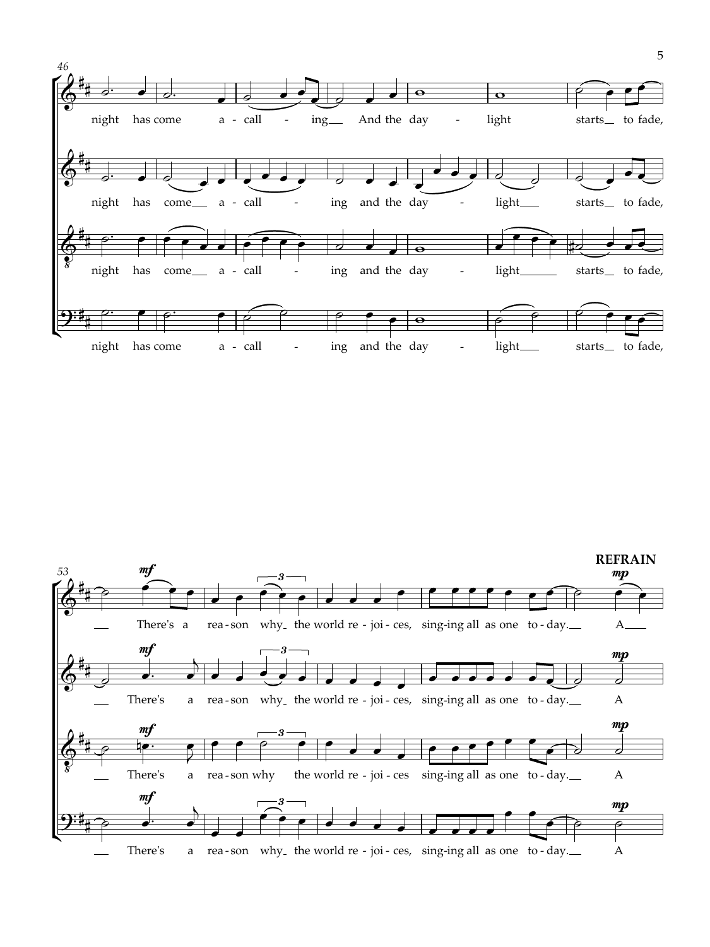![](_page_4_Figure_0.jpeg)

![](_page_4_Figure_1.jpeg)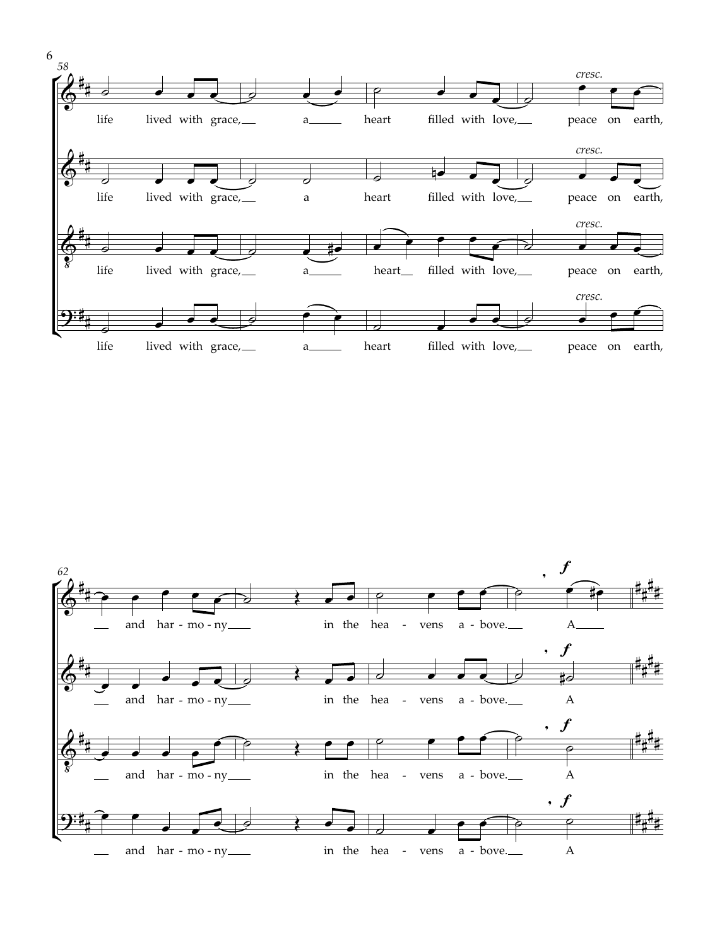![](_page_5_Figure_0.jpeg)

![](_page_5_Figure_1.jpeg)